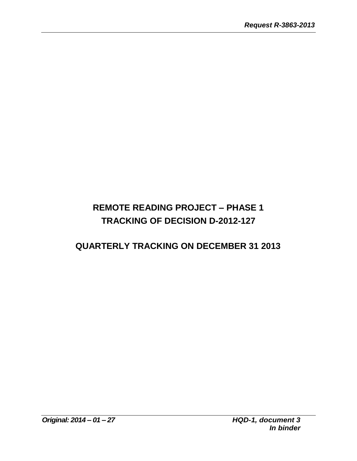# **REMOTE READING PROJECT – PHASE 1 TRACKING OF DECISION D-2012-127**

## **QUARTERLY TRACKING ON DECEMBER 31 2013**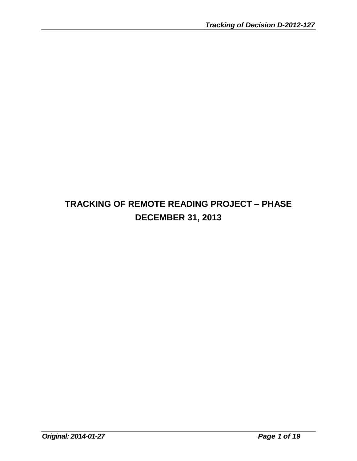# **TRACKING OF REMOTE READING PROJECT – PHASE DECEMBER 31, 2013**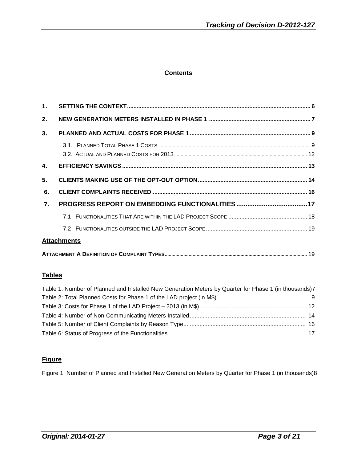#### **Contents**

| 1.               |                    |  |
|------------------|--------------------|--|
| 2.               |                    |  |
| 3 <sub>1</sub>   |                    |  |
|                  |                    |  |
|                  |                    |  |
| $\mathbf{4}$ .   |                    |  |
| 5.               |                    |  |
| 6.               |                    |  |
| $\overline{7}$ . |                    |  |
|                  |                    |  |
|                  |                    |  |
|                  | <b>Attachments</b> |  |
|                  |                    |  |

#### **Tables**

| Table 1: Number of Planned and Installed New Generation Meters by Quarter for Phase 1 (in thousands)7 |  |
|-------------------------------------------------------------------------------------------------------|--|
|                                                                                                       |  |
|                                                                                                       |  |
|                                                                                                       |  |
|                                                                                                       |  |
|                                                                                                       |  |

## **Figure**

Figure 1: Number of Planned and Installed New Generation Meters by Quarter for Phase 1 (in thousands)8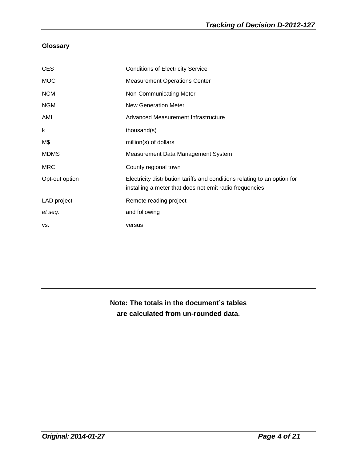## **Glossary**

| <b>CES</b>     | <b>Conditions of Electricity Service</b>                                                                                             |
|----------------|--------------------------------------------------------------------------------------------------------------------------------------|
| <b>MOC</b>     | <b>Measurement Operations Center</b>                                                                                                 |
| <b>NCM</b>     | Non-Communicating Meter                                                                                                              |
| <b>NGM</b>     | <b>New Generation Meter</b>                                                                                                          |
| AMI            | Advanced Measurement Infrastructure                                                                                                  |
| k              | thousand(s)                                                                                                                          |
| M\$            | million(s) of dollars                                                                                                                |
| <b>MDMS</b>    | Measurement Data Management System                                                                                                   |
| <b>MRC</b>     | County regional town                                                                                                                 |
| Opt-out option | Electricity distribution tariffs and conditions relating to an option for<br>installing a meter that does not emit radio frequencies |
| LAD project    | Remote reading project                                                                                                               |
| et seq.        | and following                                                                                                                        |
| VS.            | versus                                                                                                                               |

## **Note: The totals in the document's tables are calculated from un-rounded data.**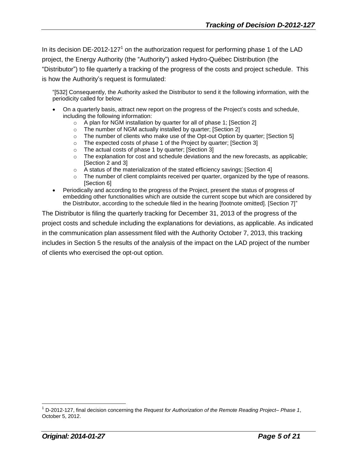In its decision DE-2012-127<sup>1</sup> on the authorization request for performing phase 1 of the LAD project, the Energy Authority (the "Authority") asked Hydro-Québec Distribution (the "Distributor") to file quarterly a tracking of the progress of the costs and project schedule. This is how the Authority's request is formulated:

"[532] Consequently, the Authority asked the Distributor to send it the following information, with the periodicity called for below:

- On a quarterly basis, attract new report on the progress of the Project's costs and schedule, including the following information:
	- $\circ$  A plan for NGM installation by quarter for all of phase 1; [Section 2]
	- o The number of NGM actually installed by quarter; [Section 2]
	- $\circ$  The number of clients who make use of the Opt-out Option by quarter; [Section 5]
	- o The expected costs of phase 1 of the Project by quarter; [Section 3]
	- o The actual costs of phase 1 by quarter; [Section 3]
	- $\circ$  The explanation for cost and schedule deviations and the new forecasts, as applicable; [Section 2 and 3]
	- o A status of the materialization of the stated efficiency savings; [Section 4]
	- $\circ$  The number of client complaints received per quarter, organized by the type of reasons. [Section 6]
- Periodically and according to the progress of the Project, present the status of progress of embedding other functionalities which are outside the current scope but which are considered by the Distributor, according to the schedule filed in the hearing [footnote omitted]. [Section 7]"

The Distributor is filing the quarterly tracking for December 31, 2013 of the progress of the project costs and schedule including the explanations for deviations, as applicable. As indicated in the communication plan assessment filed with the Authority October 7, 2013, this tracking includes in Section 5 the results of the analysis of the impact on the LAD project of the number of clients who exercised the opt-out option.

<sup>1</sup> D-2012-127, final decision concerning the *Request for Authorization of the Remote Reading Project– Phase 1*, October 5, 2012.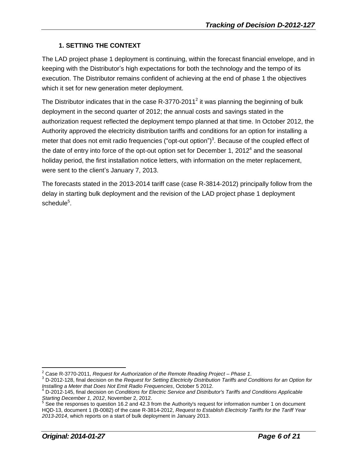## **1. SETTING THE CONTEXT**

The LAD project phase 1 deployment is continuing, within the forecast financial envelope, and in keeping with the Distributor's high expectations for both the technology and the tempo of its execution. The Distributor remains confident of achieving at the end of phase 1 the objectives which it set for new generation meter deployment.

The Distributor indicates that in the case R-3770-2011<sup>2</sup> it was planning the beginning of bulk deployment in the second quarter of 2012; the annual costs and savings stated in the authorization request reflected the deployment tempo planned at that time. In October 2012, the Authority approved the electricity distribution tariffs and conditions for an option for installing a meter that does not emit radio frequencies ("opt-out option")<sup>3</sup>. Because of the coupled effect of the date of entry into force of the opt-out option set for December 1, 2012<sup>4</sup> and the seasonal holiday period, the first installation notice letters, with information on the meter replacement, were sent to the client's January 7, 2013.

The forecasts stated in the 2013-2014 tariff case (case R-3814-2012) principally follow from the delay in starting bulk deployment and the revision of the LAD project phase 1 deployment schedule $^5$ .

<sup>2</sup> Case R-3770-2011, *Request for Authorization of the Remote Reading Project – Phase 1*.

<sup>3</sup> D-2012-128, final decision on the *Request for Setting Electricity Distribution Tariffs and Conditions for an Option for Installing a Meter that Does Not Emit Radio Frequencies*, October 5 2012.

<sup>4</sup> D-2012-145, final decision on *Conditions for Electric Service and Distributor's Tariffs and Conditions Applicable Starting December 1, 2012*, November 2, 2012.

<sup>&</sup>lt;sup>5</sup> See the responses to question 16.2 and 42.3 from the Authority's request for information number 1 on document HQD-13, document 1 (B-0082) of the case R-3814-2012, *Request to Establish Electricity Tariffs for the Tariff Year 2013-2014*, which reports on a start of bulk deployment in January 2013.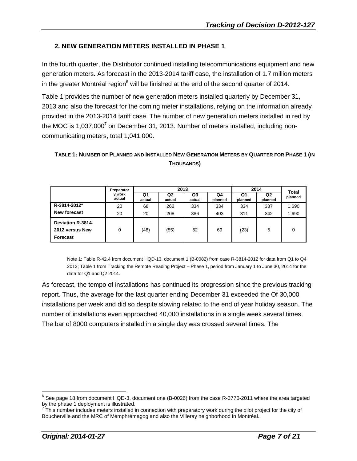## **2. NEW GENERATION METERS INSTALLED IN PHASE 1**

In the fourth quarter, the Distributor continued installing telecommunications equipment and new generation meters. As forecast in the 2013-2014 tariff case, the installation of 1.7 million meters in the greater Montréal region $6$  will be finished at the end of the second quarter of 2014.

Table 1 provides the number of new generation meters installed quarterly by December 31, 2013 and also the forecast for the coming meter installations, relying on the information already provided in the 2013-2014 tariff case. The number of new generation meters installed in red by the MOC is 1,037,000<sup>7</sup> on December 31, 2013. Number of meters installed, including noncommunicating meters, total 1,041,000.

#### TABLE 1: NUMBER OF PLANNED AND INSTALLED NEW GENERATION METERS BY QUARTER FOR PHASE 1 (IN **THOUSANDS)**

|                                                         | 2013             |              |              |              | 2014          |               | Total                     |         |
|---------------------------------------------------------|------------------|--------------|--------------|--------------|---------------|---------------|---------------------------|---------|
|                                                         | y work<br>actual | Q1<br>actual | Q2<br>actual | Q3<br>actual | Q4<br>planned | Q1<br>planned | Q <sub>2</sub><br>planned | planned |
| R-3814-2012                                             | 20               | 68           | 262          | 334          | 334           | 334           | 337                       | 1,690   |
| New forecast                                            | 20               | 20           | 208          | 386          | 403           | 311           | 342                       | 1,690   |
| <b>Deviation R-3814-</b><br>2012 versus New<br>Forecast | 0                | (48)         | (55)         | 52           | 69            | (23)          | 5                         | 0       |

Note 1: Table R-42.4 from document HQD-13, document 1 (B-0082) from case R-3814-2012 for data from Q1 to Q4 2013; Table 1 from Tracking the Remote Reading Project – Phase 1, period from January 1 to June 30, 2014 for the data for Q1 and Q2 2014.

As forecast, the tempo of installations has continued its progression since the previous tracking report. Thus, the average for the last quarter ending December 31 exceeded the Of 30,000 installations per week and did so despite slowing related to the end of year holiday season. The number of installations even approached 40,000 installations in a single week several times. The bar of 8000 computers installed in a single day was crossed several times. The

 $^6$  See page 18 from document HQD-3, document one (B-0026) from the case R-3770-2011 where the area targeted

by the phase 1 deployment is illustrated.<br><sup>7</sup> This number includes meters installed in connection with preparatory work during the pilot project for the city of Boucherville and the MRC of Memphrémagog and also the Villeray neighborhood in Montréal.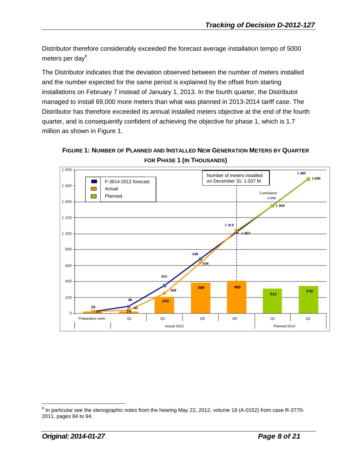Distributor therefore considerably exceeded the forecast average installation tempo of 5000 meters per day<sup>8</sup>.

The Distributor indicates that the deviation observed between the number of meters installed and the number expected for the same period is explained by the offset from starting installations on February 7 instead of January 1, 2013. In the fourth quarter, the Distributor managed to install 69,000 more meters than what was planned in 2013-2014 tariff case. The Distributor has therefore exceeded its annual installed meters objective at the end of the fourth quarter, and is consequently confident of achieving the objective for phase 1, which is 1.7 million as shown in Figure 1.





<sup>&</sup>lt;u>see the stenographic notes from</u> the hearing May 22, 2012, volume 18 (A-0152) from case R-3770-<br>In particular see the stenographic notes from the hearing May 22, 2012, volume 18 (A-0152) from case R-3770-2011, pages 84 to 94.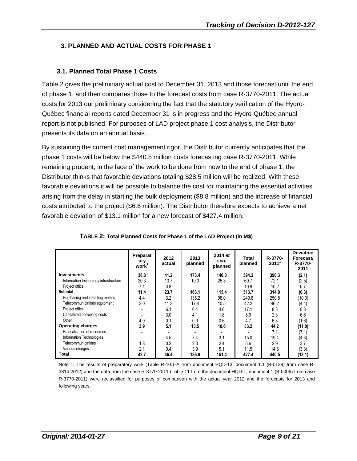## **3. PLANNED AND ACTUAL COSTS FOR PHASE 1**

## **3.1. Planned Total Phase 1 Costs**

Table 2 gives the preliminary actual cost to December 31, 2013 and those forecast until the end of phase 1, and then compares those to the forecast costs from case R-3770-2011. The actual costs for 2013 our preliminary considering the fact that the statutory verification of the Hydro-Québec financial reports dated December 31 is in progress and the Hydro-Québec annual report is not published. For purposes of LAD project phase 1 cost analysis, the Distributor presents its data on an annual basis.

By sustaining the current cost management rigor, the Distributor currently anticipates that the phase 1 costs will be below the \$440.5 million costs forecasting case R-3770-2011. While remaining prudent, in the face of the work to be done from now to the end of phase 1, the Distributor thinks that favorable deviations totaling \$28.5 million will be realized. With these favorable deviations it will be possible to balance the cost for maintaining the essential activities arising from the delay in starting the bulk deployment (\$8.8 million) and the increase of financial costs attributed to the project (\$6.6 million). The Distributor therefore expects to achieve a net favorable deviation of \$13.1 million for a new forecast of \$427.4 million.

|                                       | Preparat<br>ory<br>work <sup>1</sup> | 2012<br>actual | 2013<br>planned | 2014 et<br>seq.<br>planned | Total<br>planned | R-3770-<br>2011' | <b>Deviation</b><br>Forecast/<br>R-3770-<br>2011 |
|---------------------------------------|--------------------------------------|----------------|-----------------|----------------------------|------------------|------------------|--------------------------------------------------|
| <b>Investments</b>                    | 38.8                                 | 41.2           | 173.4           | 140.8                      | 394.2            | 396.3            | (2.1)                                            |
| Information technology infrastructure | 20.3                                 | 13.7           | 10.3            | 25.3                       | 69.7             | 72.1             | (2.5)                                            |
| Project office                        | 7.1                                  | 3.8            |                 |                            | 10.9             | 10.2             | 0.7                                              |
| Subtotal                              | 11.4                                 | 23.7           | 163.1           | 115.4                      | 313.7            | 314.0            | (0.3)                                            |
| Purchasing and installing meters      | 4.4                                  | 3.2            | 135.2           | 98.0                       | 240.8            | 250.8            | (10.0)                                           |
| Telecommunications equipment          | 3.0                                  | 11.3           | 17.4            | 10.5                       | 42.2             | 46.2             | (4.1)                                            |
| Project office                        |                                      | 6.1            | 6.4             | 4.6                        | 17.1             | 8.3              | 8.8                                              |
| Capitalized borrowing costs           |                                      | 3.0            | 4.1             | 1.8                        | 8.9              | 2.3              | 6.6                                              |
| Other                                 | 4.0                                  | 0.1            | 0.0             | 0.6                        | 4.7              | 6.3              | (1.6)                                            |
| <b>Operating charges</b>              | 3.9                                  | 5.1            | 13.5            | 10.6                       | 33.2             | 44.2             | (11.0)                                           |
| Relocalization of resources           |                                      |                |                 |                            |                  | 7.1              | (7.1)                                            |
| Information Technologies              |                                      | 4.5            | 7.4             | 3.1                        | 15.0             | 19.4             | (4.3)                                            |
| Telecommunications                    | 1.8                                  | 0.2            | 2.3             | 2.4                        | 6.6              | 2.9              | 3.7                                              |
| Various charges                       | 2.1                                  | 0.4            | 3.9             | 5.1                        | 11.5             | 14.8             | (3.3)                                            |
| Total                                 | 42.7                                 | 46.4           | 186.9           | 151.4                      | 427.4            | 440.5            | (13.1)                                           |

**TABLE 2: Total Planned Costs for Phase 1 of the LAD Project (in M\$)**

Note 1: The results of preparatory work (Table R-10.1-A from document HQD-13, document 1.1 (B-0129) from case R-3814-2012) and the data from the case R-3770-2011 (Table 11 from the document HQD-1, document 1 (B-0006) from case R-3770-2011) were reclassified for purposes of comparison with the actual year 2012 and the forecasts for 2013 and following years.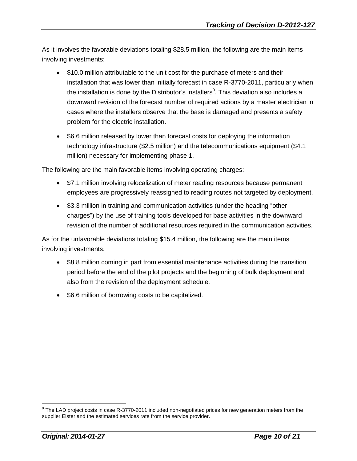As it involves the favorable deviations totaling \$28.5 million, the following are the main items involving investments:

- \$10.0 million attributable to the unit cost for the purchase of meters and their installation that was lower than initially forecast in case R-3770-2011, particularly when the installation is done by the Distributor's installers<sup>9</sup>. This deviation also includes a downward revision of the forecast number of required actions by a master electrician in cases where the installers observe that the base is damaged and presents a safety problem for the electric installation.
- \$6.6 million released by lower than forecast costs for deploying the information technology infrastructure (\$2.5 million) and the telecommunications equipment (\$4.1 million) necessary for implementing phase 1.

The following are the main favorable items involving operating charges:

- \$7.1 million involving relocalization of meter reading resources because permanent employees are progressively reassigned to reading routes not targeted by deployment.
- \$3.3 million in training and communication activities (under the heading "other charges") by the use of training tools developed for base activities in the downward revision of the number of additional resources required in the communication activities.

As for the unfavorable deviations totaling \$15.4 million, the following are the main items involving investments:

- \$8.8 million coming in part from essential maintenance activities during the transition period before the end of the pilot projects and the beginning of bulk deployment and also from the revision of the deployment schedule.
- \$6.6 million of borrowing costs to be capitalized.

 $^9$  The LAD project costs in case R-3770-2011 included non-negotiated prices for new generation meters from the supplier Elster and the estimated services rate from the service provider.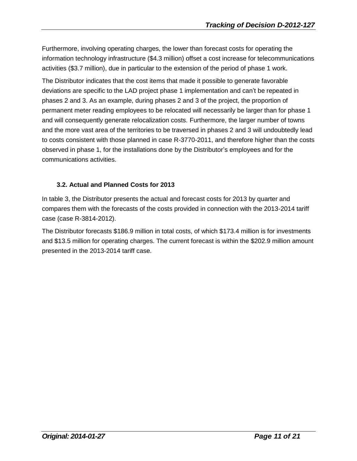Furthermore, involving operating charges, the lower than forecast costs for operating the information technology infrastructure (\$4.3 million) offset a cost increase for telecommunications activities (\$3.7 million), due in particular to the extension of the period of phase 1 work.

The Distributor indicates that the cost items that made it possible to generate favorable deviations are specific to the LAD project phase 1 implementation and can't be repeated in phases 2 and 3. As an example, during phases 2 and 3 of the project, the proportion of permanent meter reading employees to be relocated will necessarily be larger than for phase 1 and will consequently generate relocalization costs. Furthermore, the larger number of towns and the more vast area of the territories to be traversed in phases 2 and 3 will undoubtedly lead to costs consistent with those planned in case R-3770-2011, and therefore higher than the costs observed in phase 1, for the installations done by the Distributor's employees and for the communications activities.

### **3.2. Actual and Planned Costs for 2013**

In table 3, the Distributor presents the actual and forecast costs for 2013 by quarter and compares them with the forecasts of the costs provided in connection with the 2013-2014 tariff case (case R-3814-2012).

The Distributor forecasts \$186.9 million in total costs, of which \$173.4 million is for investments and \$13.5 million for operating charges. The current forecast is within the \$202.9 million amount presented in the 2013-2014 tariff case.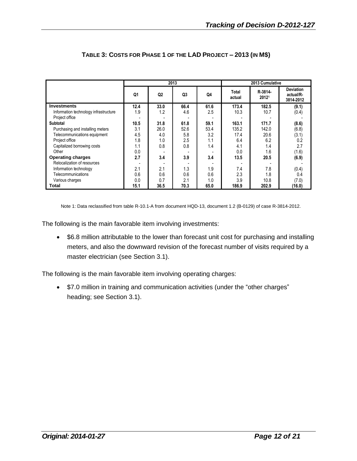|                                       | 2013 |                |                |      |                 | 2013 Cumulative  |                                            |  |  |
|---------------------------------------|------|----------------|----------------|------|-----------------|------------------|--------------------------------------------|--|--|
|                                       | Q1   | Q <sub>2</sub> | Q <sub>3</sub> | Q4   | Total<br>actual | R-3814-<br>20121 | <b>Deviation</b><br>actual/R-<br>3814-2012 |  |  |
| <b>Investments</b>                    | 12.4 | 33.0           | 66.4           | 61.6 | 173.4           | 182.5            | (9.1)                                      |  |  |
| Information technology infrastructure | 1.9  | 1.2            | 4.6            | 2.5  | 10.3            | 10.7             | (0.4)                                      |  |  |
| Project office                        |      |                |                |      |                 |                  |                                            |  |  |
| <b>Subtotal</b>                       | 10.5 | 31.8           | 61.8           | 59.1 | 163.1           | 171.7            | (8.6)                                      |  |  |
| Purchasing and installing meters      | 3.1  | 26.0           | 52.6           | 53.4 | 135.2           | 142.0            | (6.8)                                      |  |  |
| Telecommunications equipment          | 4.5  | 4.0            | 5.8            | 3.2  | 17.4            | 20.6             | (3.1)                                      |  |  |
| Project office                        | 1.8  | 1.0            | 2.5            | 1.1  | 6.4             | 6.2              | 0.2                                        |  |  |
| Capitalized borrowing costs           | 1.1  | 0.8            | 0.8            | 1.4  | 4.1             | 1.4              | 2.7                                        |  |  |
| Other                                 | 0.0  |                |                |      | 0.0             | 1.6              | (1.6)                                      |  |  |
| <b>Operating charges</b>              | 2.7  | 3.4            | 3.9            | 3.4  | 13.5            | 20.5             | (6.9)                                      |  |  |
| Relocalization of resources           |      |                |                |      |                 |                  |                                            |  |  |
| Information technology                | 2.1  | 2.1            | 1.3            | 1.9  | 7.4             | 7.8              | (0.4)                                      |  |  |
| Telecommunications                    | 0.6  | 0.6            | 0.6            | 0.6  | 2.3             | 1.8              | 0.4                                        |  |  |
| Various charges                       | 0.0  | 0.7            | 2.1            | 1.0  | 3.9             | 10.8             | (7.0)                                      |  |  |
| Total                                 | 15.1 | 36.5           | 70.3           | 65.0 | 186.9           | 202.9            | (16.0)                                     |  |  |

#### **TABLE 3: COSTS FOR PHASE 1 OF THE LAD PROJECT – 2013 (IN M\$)**

Note 1: Data reclassified from table R-10.1-A from document HQD-13, document 1.2 (B-0129) of case R-3814-2012.

The following is the main favorable item involving investments:

• \$6.8 million attributable to the lower than forecast unit cost for purchasing and installing meters, and also the downward revision of the forecast number of visits required by a master electrician (see Section 3.1).

The following is the main favorable item involving operating charges:

• \$7.0 million in training and communication activities (under the "other charges" heading; see Section 3.1).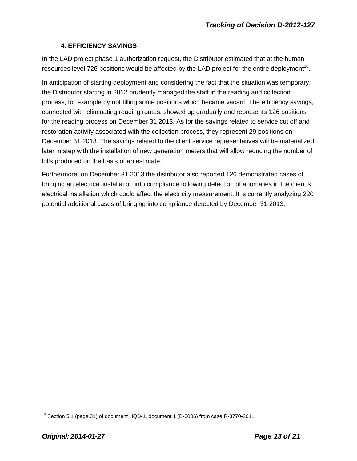## **4. EFFICIENCY SAVINGS**

In the LAD project phase 1 authorization request, the Distributor estimated that at the human resources level 726 positions would be affected by the LAD project for the entire deployment<sup>10</sup>.

In anticipation of starting deployment and considering the fact that the situation was temporary, the Distributor starting in 2012 prudently managed the staff in the reading and collection process, for example by not filling some positions which became vacant. The efficiency savings, connected with eliminating reading routes, showed up gradually and represents 126 positions for the reading process on December 31 2013. As for the savings related to service cut off and restoration activity associated with the collection process, they represent 29 positions on December 31 2013. The savings related to the client service representatives will be materialized later in step with the installation of new generation meters that will allow reducing the number of bills produced on the basis of an estimate.

Furthermore, on December 31 2013 the distributor also reported 126 demonstrated cases of bringing an electrical installation into compliance following detection of anomalies in the client's electrical installation which could affect the electricity measurement. It is currently analyzing 220 potential additional cases of bringing into compliance detected by December 31 2013.

 $10$  Section 5.1 (page 31) of document HQD-1, document 1 (B-0006) from case R-3770-2011.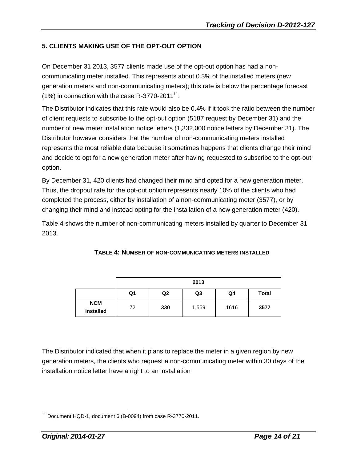## **5. CLIENTS MAKING USE OF THE OPT-OUT OPTION**

On December 31 2013, 3577 clients made use of the opt-out option has had a noncommunicating meter installed. This represents about 0.3% of the installed meters (new generation meters and non-communicating meters); this rate is below the percentage forecast  $(1%)$  in connection with the case R-3770-2011<sup>11</sup>.

The Distributor indicates that this rate would also be 0.4% if it took the ratio between the number of client requests to subscribe to the opt-out option (5187 request by December 31) and the number of new meter installation notice letters (1,332,000 notice letters by December 31). The Distributor however considers that the number of non-communicating meters installed represents the most reliable data because it sometimes happens that clients change their mind and decide to opt for a new generation meter after having requested to subscribe to the opt-out option.

By December 31, 420 clients had changed their mind and opted for a new generation meter. Thus, the dropout rate for the opt-out option represents nearly 10% of the clients who had completed the process, either by installation of a non-communicating meter (3577), or by changing their mind and instead opting for the installation of a new generation meter (420).

Table 4 shows the number of non-communicating meters installed by quarter to December 31 2013.

|                         | 2013 |                |                |      |              |  |  |
|-------------------------|------|----------------|----------------|------|--------------|--|--|
|                         | Q1   | Q <sub>2</sub> | Q <sub>3</sub> | Q4   | <b>Total</b> |  |  |
| <b>NCM</b><br>installed | 72   | 330            | 1,559          | 1616 | 3577         |  |  |

**TABLE 4: NUMBER OF NON-COMMUNICATING METERS INSTALLED**

The Distributor indicated that when it plans to replace the meter in a given region by new generation meters, the clients who request a non-communicating meter within 30 days of the installation notice letter have a right to an installation

 $\overline{a}$ Document HQD-1, document 6 (B-0094) from case R-3770-2011.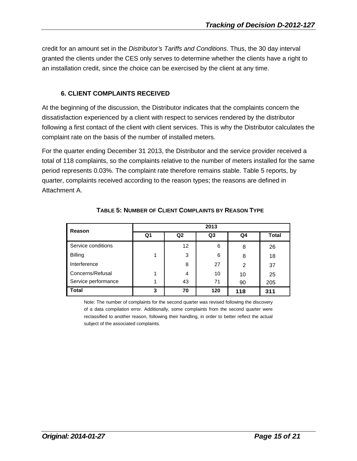credit for an amount set in the *Distributor's Tariffs and Conditions*. Thus, the 30 day interval granted the clients under the CES only serves to determine whether the clients have a right to an installation credit, since the choice can be exercised by the client at any time.

## **6. CLIENT COMPLAINTS RECEIVED**

At the beginning of the discussion, the Distributor indicates that the complaints concern the dissatisfaction experienced by a client with respect to services rendered by the distributor following a first contact of the client with client services. This is why the Distributor calculates the complaint rate on the basis of the number of installed meters.

For the quarter ending December 31 2013, the Distributor and the service provider received a total of 118 complaints, so the complaints relative to the number of meters installed for the same period represents 0.03%. The complaint rate therefore remains stable. Table 5 reports, by quarter, complaints received according to the reason types; the reasons are defined in Attachment A.

| Reason              | 2013 |                   |                |     |              |  |  |  |
|---------------------|------|-------------------|----------------|-----|--------------|--|--|--|
|                     | Q1   | Q <sub>2</sub>    | Q <sub>3</sub> | Q4  | <b>Total</b> |  |  |  |
| Service conditions  |      | $12 \overline{ }$ | 6              | 8   | 26           |  |  |  |
| Billing             |      | 3                 | 6              | 8   | 18           |  |  |  |
| Interference        |      | 8                 | 27             | 2   | 37           |  |  |  |
| Concerns/Refusal    |      | 4                 | 10             | 10  | 25           |  |  |  |
| Service performance |      | 43                | 71             | 90  | 205          |  |  |  |
| <b>Total</b>        | 3    | 70                | 120            | 118 | 311          |  |  |  |

**TABLE 5: NUMBER OF CLIENT COMPLAINTS BY REASON TYPE**

Note: The number of complaints for the second quarter was revised following the discovery of a data compilation error. Additionally, some complaints from the second quarter were reclassified to another reason, following their handling, in order to better reflect the actual subject of the associated complaints.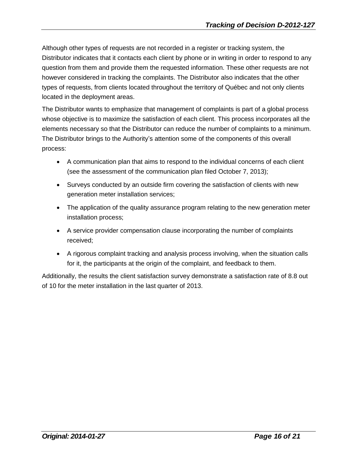Although other types of requests are not recorded in a register or tracking system, the Distributor indicates that it contacts each client by phone or in writing in order to respond to any question from them and provide them the requested information. These other requests are not however considered in tracking the complaints. The Distributor also indicates that the other types of requests, from clients located throughout the territory of Québec and not only clients located in the deployment areas.

The Distributor wants to emphasize that management of complaints is part of a global process whose objective is to maximize the satisfaction of each client. This process incorporates all the elements necessary so that the Distributor can reduce the number of complaints to a minimum. The Distributor brings to the Authority's attention some of the components of this overall process:

- A communication plan that aims to respond to the individual concerns of each client (see the assessment of the communication plan filed October 7, 2013);
- Surveys conducted by an outside firm covering the satisfaction of clients with new generation meter installation services;
- The application of the quality assurance program relating to the new generation meter installation process;
- A service provider compensation clause incorporating the number of complaints received;
- A rigorous complaint tracking and analysis process involving, when the situation calls for it, the participants at the origin of the complaint, and feedback to them.

Additionally, the results the client satisfaction survey demonstrate a satisfaction rate of 8.8 out of 10 for the meter installation in the last quarter of 2013.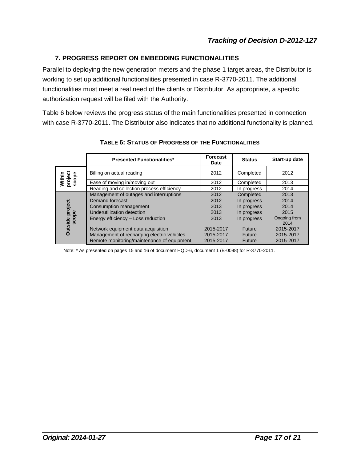#### **7. PROGRESS REPORT ON EMBEDDING FUNCTIONALITIES**

Parallel to deploying the new generation meters and the phase 1 target areas, the Distributor is working to set up additional functionalities presented in case R-3770-2011. The additional functionalities must meet a real need of the clients or Distributor. As appropriate, a specific authorization request will be filed with the Authority.

Table 6 below reviews the progress status of the main functionalities presented in connection with case R-3770-2011. The Distributor also indicates that no additional functionality is planned.

|                                 | <b>Presented Functionalities*</b>          | Forecast<br>Date | <b>Status</b> | Start-up date        |
|---------------------------------|--------------------------------------------|------------------|---------------|----------------------|
| Within<br>project<br>scope      | Billing on actual reading                  | 2012             | Completed     | 2012                 |
|                                 | Ease of moving in/moving out               | 2012             | Completed     | 2013                 |
|                                 | Reading and collection process efficiency  | 2012             | In progress   | 2014                 |
|                                 | Management of outages and interruptions    | 2012             | Completed     | 2013                 |
|                                 | Demand forecast                            | 2012             | In progress   | 2014                 |
|                                 | Consumption management                     | 2013             | In progress   | 2014                 |
|                                 | Underutilization detection                 | 2013             | In progress   | 2015                 |
| <b>Dutside project</b><br>scope | Energy efficiency - Loss reduction         | 2013             | In progress   | Ongoing from<br>2014 |
|                                 | Network equipment data acquisition         | 2015-2017        | Future        | 2015-2017            |
|                                 | Management of recharging electric vehicles | 2015-2017        | <b>Future</b> | 2015-2017            |
|                                 | Remote monitoring/maintenance of equipment | 2015-2017        | Future        | 2015-2017            |

#### **TABLE 6: STATUS OF PROGRESS OF THE FUNCTIONALITIES**

Note: \* As presented on pages 15 and 16 of document HQD-6, document 1 (B-0098) for R-3770-2011.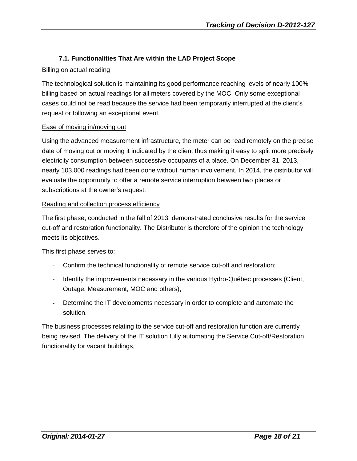#### **7.1. Functionalities That Are within the LAD Project Scope**

#### Billing on actual reading

The technological solution is maintaining its good performance reaching levels of nearly 100% billing based on actual readings for all meters covered by the MOC. Only some exceptional cases could not be read because the service had been temporarily interrupted at the client's request or following an exceptional event.

#### Ease of moving in/moving out

Using the advanced measurement infrastructure, the meter can be read remotely on the precise date of moving out or moving it indicated by the client thus making it easy to split more precisely electricity consumption between successive occupants of a place. On December 31, 2013, nearly 103,000 readings had been done without human involvement. In 2014, the distributor will evaluate the opportunity to offer a remote service interruption between two places or subscriptions at the owner's request.

#### Reading and collection process efficiency

The first phase, conducted in the fall of 2013, demonstrated conclusive results for the service cut-off and restoration functionality. The Distributor is therefore of the opinion the technology meets its objectives.

This first phase serves to:

- Confirm the technical functionality of remote service cut-off and restoration;
- Identify the improvements necessary in the various Hydro-Québec processes (Client, Outage, Measurement, MOC and others);
- Determine the IT developments necessary in order to complete and automate the solution.

The business processes relating to the service cut-off and restoration function are currently being revised. The delivery of the IT solution fully automating the Service Cut-off/Restoration functionality for vacant buildings,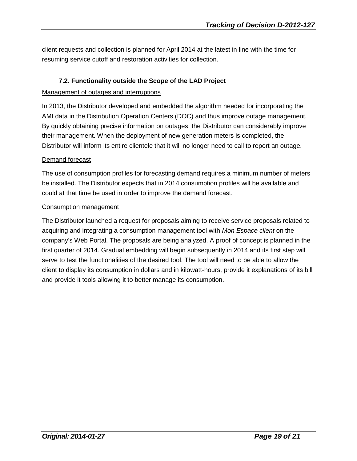client requests and collection is planned for April 2014 at the latest in line with the time for resuming service cutoff and restoration activities for collection.

## **7.2. Functionality outside the Scope of the LAD Project**

#### Management of outages and interruptions

In 2013, the Distributor developed and embedded the algorithm needed for incorporating the AMI data in the Distribution Operation Centers (DOC) and thus improve outage management. By quickly obtaining precise information on outages, the Distributor can considerably improve their management. When the deployment of new generation meters is completed, the Distributor will inform its entire clientele that it will no longer need to call to report an outage.

#### Demand forecast

The use of consumption profiles for forecasting demand requires a minimum number of meters be installed. The Distributor expects that in 2014 consumption profiles will be available and could at that time be used in order to improve the demand forecast.

#### Consumption management

The Distributor launched a request for proposals aiming to receive service proposals related to acquiring and integrating a consumption management tool with *Mon Espace client* on the company's Web Portal. The proposals are being analyzed. A proof of concept is planned in the first quarter of 2014. Gradual embedding will begin subsequently in 2014 and its first step will serve to test the functionalities of the desired tool. The tool will need to be able to allow the client to display its consumption in dollars and in kilowatt-hours, provide it explanations of its bill and provide it tools allowing it to better manage its consumption.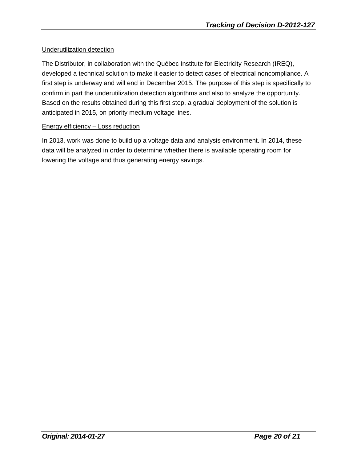#### Underutilization detection

The Distributor, in collaboration with the Québec Institute for Electricity Research (IREQ), developed a technical solution to make it easier to detect cases of electrical noncompliance. A first step is underway and will end in December 2015. The purpose of this step is specifically to confirm in part the underutilization detection algorithms and also to analyze the opportunity. Based on the results obtained during this first step, a gradual deployment of the solution is anticipated in 2015, on priority medium voltage lines.

#### Energy efficiency – Loss reduction

In 2013, work was done to build up a voltage data and analysis environment. In 2014, these data will be analyzed in order to determine whether there is available operating room for lowering the voltage and thus generating energy savings.